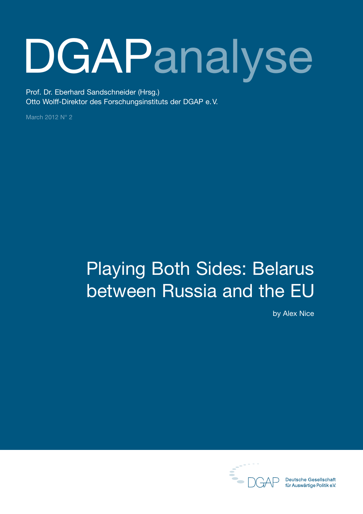# **DGAPanalyse**

Prof. Dr. Eberhard Sandschneider (Hrsg.) Otto Wolff-Direktor des Forschungsinstituts der DGAP e.V.

March 2012 N° 2

## Playing Both Sides: Belarus between Russia and the EU

by Alex Nice



**Deutsche Gesellschaft** für Auswärtige Politik e.V.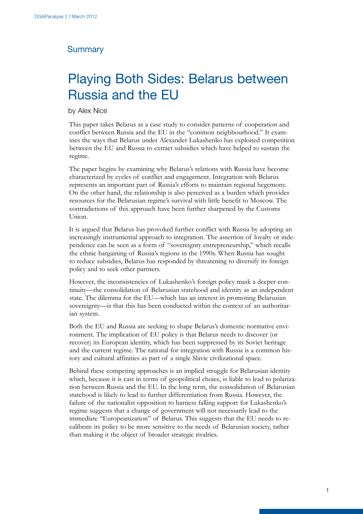#### **Summary**

## Playing Both Sides: Belarus between Russia and the EU

by Alex Nice

This paper takes Belarus as a case study to consider patterns of cooperation and conflict between Russia and the EU in the "common neighbourhood." It examines the ways that Belarus under Alexander Lukashenko has exploited competition between the EU and Russia to extract subsidies which have helped to sustain the regime.

The paper begins by examining why Belarus's relations with Russia have become characterized by cycles of conflict and engagement. Integration with Belarus represents an important part of Russia's efforts to maintain regional hegemony. On the other hand, the relationship is also perceived as a burden which provides resources for the Belarusian regime's survival with little benefit to Moscow. The contradictions of this approach have been further sharpened by the Customs Union.

It is argued that Belarus has provoked further conflict with Russia by adopting an increasingly instrumental approach to integration. The assertion of loyalty or independence can be seen as a form of "sovereignty entrepreneurship," which recalls the ethnic bargaining of Russia's regions in the 1990s. When Russia has sought to reduce subsidies, Belarus has responded by threatening to diversify its foreign policy and to seek other partners.

However, the inconsistencies of Lukashenko's foreign policy mask a deeper continuity—the consolidation of Belarusian statehood and identity as an independent state. The dilemma for the EU—which has an interest in promoting Belarusian sovereignty—is that this has been conducted within the context of an authoritarian system.

Both the EU and Russia are seeking to shape Belarus's domestic normative environment. The implication of EU policy is that Belarus needs to discover (or recover) its European identity, which has been suppressed by its Soviet heritage and the current regime. The rational for integration with Russia is a common history and cultural affinities as part of a single Slavic civilizational space.

Behind these competing approaches is an implied struggle for Belarusian identity which, because it is cast in terms of geopolitical choice, is liable to lead to polarization between Russia and the EU. In the long term, the consolidation of Belarusian statehood is likely to lead to further differentiation from Russia. However, the failure of the nationalist opposition to harness falling support for Lukashenko's regime suggests that a change of government will not necessarily lead to the immediate "Europeanization" of Belarus. This suggests that the EU needs to recalibrate its policy to be more sensitive to the needs of Belarusian society, rather than making it the object of broader strategic rivalries.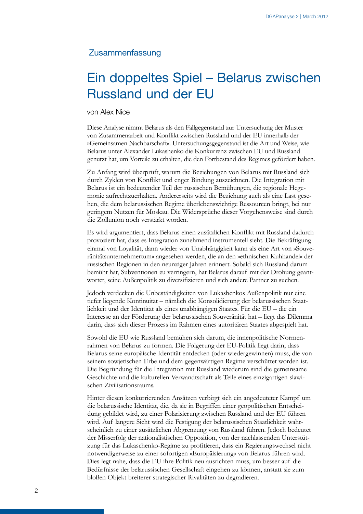#### Zusammenfassung

## Ein doppeltes Spiel – Belarus zwischen Russland und der EU

#### von Alex Nice

Diese Analyse nimmt Belarus als den Fallgegenstand zur Untersuchung der Muster von Zusammenarbeit und Konflikt zwischen Russland und der EU innerhalb der »Gemeinsamen Nachbarschaft«. Untersuchungsgegenstand ist die Art und Weise, wie Belarus unter Alexander Lukashenko die Konkurrenz zwischen EU und Russland genutzt hat, um Vorteile zu erhalten, die den Fortbestand des Regimes gefördert haben.

Zu Anfang wird überprüft, warum die Beziehungen von Belarus mit Russland sich durch Zyklen von Konflikt und enger Bindung auszeichnen. Die Integration mit Belarus ist ein bedeutender Teil der russischen Bemühungen, die regionale Hegemonie aufrechtzuerhalten. Andererseits wird die Beziehung auch als eine Last gesehen, die dem belarussischen Regime überlebenswichtige Ressourcen bringt, bei nur geringem Nutzen für Moskau. Die Widersprüche dieser Vorgehensweise sind durch die Zollunion noch verstärkt worden.

Es wird argumentiert, dass Belarus einen zusätzlichen Konflikt mit Russland dadurch provoziert hat, dass es Integration zunehmend instrumentell sieht. Die Bekräftigung einmal von Loyalität, dann wieder von Unabhängigkeit kann als eine Art von »Souveränitätsunternehmertum« angesehen werden, die an den »ethnischen Kuhhandel« der russischen Regionen in den neunziger Jahren erinnert. Sobald sich Russland darum bemüht hat, Subventionen zu verringern, hat Belarus darauf mit der Drohung geantwortet, seine Außenpolitik zu diversifizieren und sich andere Partner zu suchen.

Jedoch verdecken die Unbeständigkeiten von Lukashenkos Außenpolitik nur eine tiefer liegende Kontinuität – nämlich die Konsolidierung der belarussischen Staatlichkeit und der Identität als eines unabhängigen Staates. Für die EU – die ein Interesse an der Förderung der belarussischen Souveränität hat – liegt das Dilemma darin, dass sich dieser Prozess im Rahmen eines autoritären Staates abgespielt hat.

Sowohl die EU wie Russland bemühen sich darum, die innenpolitische Normenrahmen von Belarus zu formen. Die Folgerung der EU-Politik liegt darin, dass Belarus seine europäische Identität entdecken (oder wiedergewinnen) muss, die von seinem sowjetischen Erbe und dem gegenwärtigen Regime verschüttet worden ist. Die Begründung für die Integration mit Russland wiederum sind die gemeinsame Geschichte und die kulturellen Verwandtschaft als Teile eines einzigartigen slawischen Zivilisationsraums.

Hinter diesen konkurrierenden Ansätzen verbirgt sich ein angedeuteter Kampf um die belarussische Identität, die, da sie in Begriffen einer geopolitischen Entscheidung gebildet wird, zu einer Polarisierung zwischen Russland und der EU führen wird. Auf längere Sicht wird die Festigung der belarussischen Staatlichkeit wahrscheinlich zu einer zusätzlichen Abgrenzung von Russland führen. Jedoch bedeutet der Misserfolg der nationalistischen Opposition, von der nachlassenden Unterstützung für das Lukaschenko-Regime zu profitieren, dass ein Regierungswechsel nicht notwendigerweise zu einer sofortigen »Europäisierung« von Belarus führen wird. Dies legt nahe, dass die EU ihre Politik neu ausrichten muss, um besser auf die Bedürfnisse der belarussischen Gesellschaft eingehen zu können, anstatt sie zum bloßen Objekt breiterer strategischer Rivalitäten zu degradieren.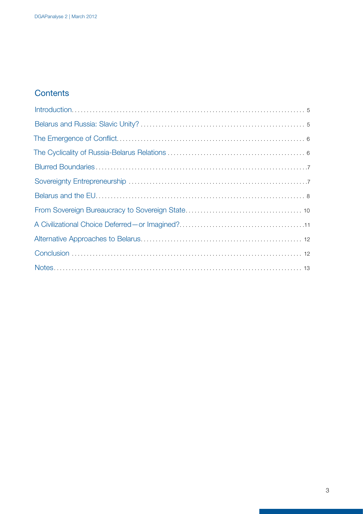### **Contents**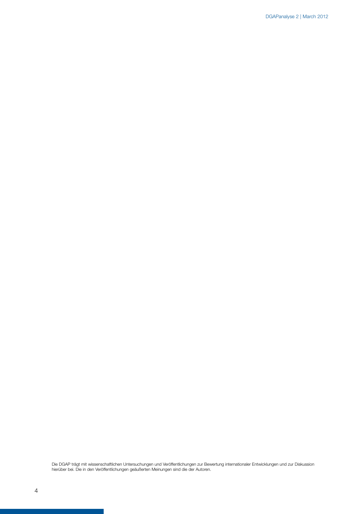Die DGAP trägt mit wissenschaftlichen Untersuchungen und Veröffentlichungen zur Bewertung internationaler Entwicklungen und zur Diskussion hierüber bei. Die in den Veröffentlichungen geäußerten Meinungen sind die der Autoren.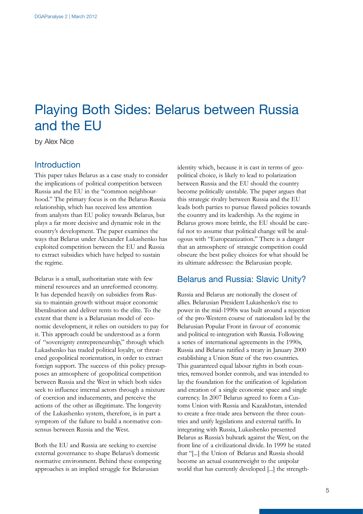## <span id="page-6-0"></span>Playing Both Sides: Belarus between Russia and the EU

by Alex Nice

#### **Introduction**

This paper takes Belarus as a case study to consider the implications of political competition between Russia and the EU in the "common neighbourhood." The primary focus is on the Belarus-Russia relationship, which has received less attention from analysts than EU policy towards Belarus, but plays a far more decisive and dynamic role in the country's development. The paper examines the ways that Belarus under Alexander Lukashenko has exploited competition between the EU and Russia to extract subsidies which have helped to sustain the regime.

Belarus is a small, authoritarian state with few mineral resources and an unreformed economy. It has depended heavily on subsidies from Russia to maintain growth without major economic liberalisation and deliver rents to the elite. To the extent that there is a Belarusian model of economic development, it relies on outsiders to pay for it. This approach could be understood as a form of "sovereignty entrepreneurship," through which Lukashenko has traded political loyalty, or threatened geopolitical reorientation, in order to extract foreign support. The success of this policy presupposes an atmosphere of geopolitical competition between Russia and the West in which both sides seek to influence internal actors through a mixture of coercion and inducements, and perceive the actions of the other as illegitimate. The longevity of the Lukashenko system, therefore, is in part a symptom of the failure to build a normative consensus between Russia and the West.

Both the EU and Russia are seeking to exercise external governance to shape Belarus's domestic normative environment. Behind these competing approaches is an implied struggle for Belarusian

identity which, because it is cast in terms of geopolitical choice, is likely to lead to polarization between Russia and the EU should the country become politically unstable. The paper argues that this strategic rivalry between Russia and the EU leads both parties to pursue flawed policies towards the country and its leadership. As the regime in Belarus grows more brittle, the EU should be careful not to assume that political change will be analogous with "Europeanization." There is a danger that an atmosphere of strategic competition could obscure the best policy choices for what should be its ultimate addressee: the Belarusian people.

#### Belarus and Russia: Slavic Unity?

Russia and Belarus are notionally the closest of allies. Belarusian President Lukashenko's rise to power in the mid-1990s was built around a rejection of the pro-Western course of nationalists led by the Belarusian Popular Front in favour of economic and political re-integration with Russia. Following a series of international agreements in the 1990s, Russia and Belarus ratified a treaty in January 2000 establishing a Union State of the two countries. This guaranteed equal labour rights in both countries, removed border controls, and was intended to lay the foundation for the unification of legislation and creation of a single economic space and single currency. In 2007 Belarus agreed to form a Customs Union with Russia and Kazakhstan, intended to create a free-trade area between the three countries and unify legislations and external tariffs. In integrating with Russia, Lukashenko presented Belarus as Russia's bulwark against the West, on the front line of a civilizational divide. In 1999 he stated that "[...] the Union of Belarus and Russia should become an actual counterweight to the unipolar world that has currently developed [...] the strength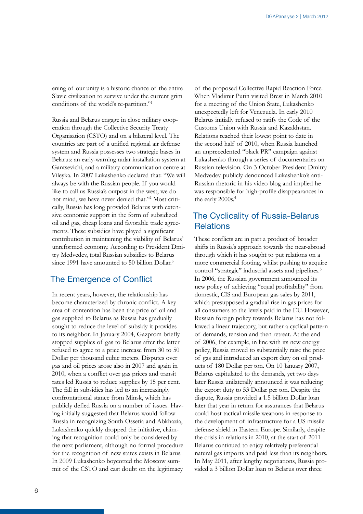<span id="page-7-0"></span>ening of our unity is a historic chance of the entire Slavic civilization to survive under the current grim conditions of the world's re-partition."1

Russia and Belarus engage in close military cooperation through the Collective Security Treaty Organisation (CSTO) and on a bilateral level. The countries are part of a unified regional air defense system and Russia possesses two strategic bases in Belarus: an early-warning radar installation system at Gantsevichi, and a military communication centre at Vileyka. In 2007 Lukashenko declared that: "We will always be with the Russian people. If you would like to call us Russia's outpost in the west, we do not mind, we have never denied that."2 Most critically, Russia has long provided Belarus with extensive economic support in the form of subsidized oil and gas, cheap loans and favorable trade agreements. These subsidies have played a significant contribution in maintaining the viability of Belarus' unreformed economy. According to President Dmitry Medvedev, total Russian subsidies to Belarus since 1991 have amounted to 50 billion Dollar.<sup>3</sup>

#### The Emergence of Conflict

In recent years, however, the relationship has become characterized by chronic conflict. A key area of contention has been the price of oil and gas supplied to Belarus as Russia has gradually sought to reduce the level of subsidy it provides to its neighbor. In January 2004, Gazprom briefly stopped supplies of gas to Belarus after the latter refused to agree to a price increase from 30 to 50 Dollar per thousand cubic meters. Disputes over gas and oil prices arose also in 2007 and again in 2010, when a conflict over gas prices and transit rates led Russia to reduce supplies by 15 per cent. The fall in subsidies has led to an increasingly confrontational stance from Minsk, which has publicly defied Russia on a number of issues. Having initially suggested that Belarus would follow Russia in recognizing South Ossetia and Abkhazia, Lukashenko quickly dropped the initiative, claiming that recognition could only be considered by the next parliament, although no formal procedure for the recognition of new states exists in Belarus. In 2009 Lukashenko boycotted the Moscow summit of the CSTO and cast doubt on the legitimacy

of the proposed Collective Rapid Reaction Force. When Vladimir Putin visited Brest in March 2010 for a meeting of the Union State, Lukashenko unexpectedly left for Venezuela. In early 2010 Belarus initially refused to ratify the Code of the Customs Union with Russia and Kazakhstan. Relations reached their lowest point to date in the second half of 2010, when Russia launched an unprecedented "black PR" campaign against Lukashenko through a series of documentaries on Russian television. On 3 October President Dmitry Medvedev publicly denounced Lukashenko's anti-Russian rhetoric in his video blog and implied he was responsible for high-profile disappearances in the early 2000s.<sup>4</sup>

#### The Cyclicality of Russia-Belarus **Relations**

These conflicts are in part a product of broader shifts in Russia's approach towards the near-abroad through which it has sought to put relations on a more commercial footing, whilst pushing to acquire control "strategic" industrial assets and pipelines.<sup>5</sup> In 2006, the Russian government announced its new policy of achieving "equal profitability" from domestic, CIS and European gas sales by 2011, which presupposed a gradual rise in gas prices for all consumers to the levels paid in the EU. However, Russian foreign policy towards Belarus has not followed a linear trajectory, but rather a cyclical pattern of demands, tension and then retreat. At the end of 2006, for example, in line with its new energy policy, Russia moved to substantially raise the price of gas and introduced an export duty on oil products of 180 Dollar per ton. On 10 January 2007, Belarus capitulated to the demands, yet two days later Russia unilaterally announced it was reducing the export duty to 53 Dollar per ton. Despite the dispute, Russia provided a 1.5 billion Dollar loan later that year in return for assurances that Belarus could host tactical missile weapons in response to the development of infrastructure for a US missile defense shield in Eastern Europe. Similarly, despite the crisis in relations in 2010, at the start of 2011 Belarus continued to enjoy relatively preferential natural gas imports and paid less than its neighbors. In May 2011, after lengthy negotiations, Russia provided a 3 billion Dollar loan to Belarus over three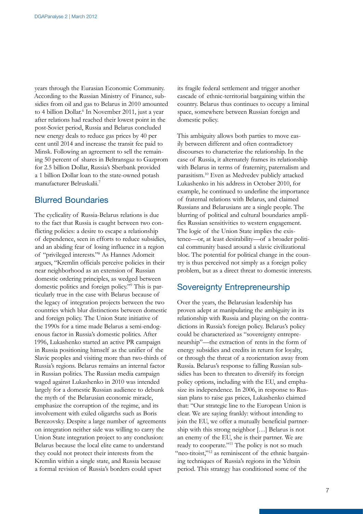<span id="page-8-0"></span>years through the Eurasian Economic Community. According to the Russian Ministry of Finance, subsidies from oil and gas to Belarus in 2010 amounted to 4 billion Dollar.<sup>6</sup> In November 2011, just a year after relations had reached their lowest point in the post-Soviet period, Russia and Belarus concluded new energy deals to reduce gas prices by 40 per cent until 2014 and increase the transit fee paid to Minsk. Following an agreement to sell the remaining 50 percent of shares in Beltransgaz to Gazprom for 2.5 billion Dollar, Russia's Sberbank provided a 1 billion Dollar loan to the state-owned potash manufacturer Belruskalii.7

#### Blurred Boundaries

The cyclicality of Russia-Belarus relations is due to the fact that Russia is caught between two conflicting policies: a desire to escape a relationship of dependence, seen in efforts to reduce subsidies, and an abiding fear of losing influence in a region of "privileged interests."8 As Hannes Adomeit argues, "Kremlin officials perceive policies in their near neighborhood as an extension of Russian domestic ordering principles, as wedged between domestic politics and foreign policy."9 This is particularly true in the case with Belarus because of the legacy of integration projects between the two countries which blur distinctions between domestic and foreign policy. The Union State initiative of the 1990s for a time made Belarus a semi-endogenous factor in Russia's domestic politics. After 1996, Lukashenko started an active PR campaign in Russia positioning himself as the unifier of the Slavic peoples and visiting more than two-thirds of Russia's regions. Belarus remains an internal factor in Russian politics. The Russian media campaign waged against Lukashenko in 2010 was intended largely for a domestic Russian audience to debunk the myth of the Belarusian economic miracle, emphasize the corruption of the regime, and its involvement with exiled oligarchs such as Boris Berezovsky. Despite a large number of agreements on integration neither side was willing to carry the Union State integration project to any conclusion: Belarus because the local elite came to understand they could not protect their interests from the Kremlin within a single state, and Russia because a formal revision of Russia's borders could upset

its fragile federal settlement and trigger another cascade of ethnic-territorial bargaining within the country. Belarus thus continues to occupy a liminal space, somewhere between Russian foreign and domestic policy.

This ambiguity allows both parties to move easily between different and often contradictory discourses to characterize the relationship. In the case of Russia, it alternately frames its relationship with Belarus in terms of fraternity, paternalism and parasitism.10 Even as Medvedev publicly attacked Lukashenko in his address in October 2010, for example, he continued to underline the importance of fraternal relations with Belarus, and claimed Russians and Belarusians are a single people. The blurring of political and cultural boundaries amplifies Russian sensitivities to western engagement. The logic of the Union State implies the existence—or, at least desirability—of a broader political community based around a slavic civilizational bloc. The potential for political change in the country is thus perceived not simply as a foreign policy problem, but as a direct threat to domestic interests.

#### Sovereignty Entrepreneurship

Over the years, the Belarusian leadership has proven adept at manipulating the ambiguity in its relationship with Russia and playing on the contradictions in Russia's foreign policy. Belarus's policy could be characterized as "sovereignty entrepreneurship"—the extraction of rents in the form of energy subsidies and credits in return for loyalty, or through the threat of a reorientation away from Russia. Belarus's response to falling Russian subsidies has been to threaten to diversify its foreign policy options, including with the EU, and emphasize its independence. In 2006, in response to Russian plans to raise gas prices, Lukashenko claimed that: "Our strategic line to the European Union is clear. We are saying frankly: without intending to join the EU, we offer a mutually beneficial partnership with this strong neighbor […] Belarus is not an enemy of the EU, she is their partner. We are ready to cooperate."11 The policy is not so much "neo-titoist,"<sup>12</sup> as reminiscent of the ethnic bargaining techniques of Russia's regions in the Yeltsin period. This strategy has conditioned some of the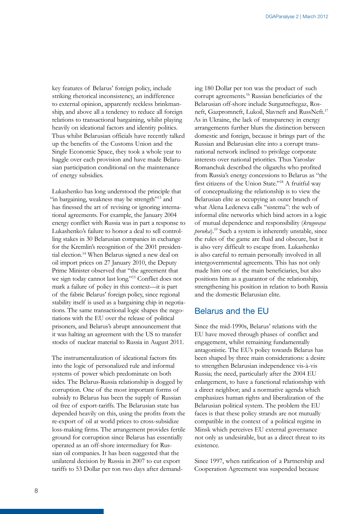<span id="page-9-0"></span>key features of Belarus' foreign policy, include striking rhetorical inconsistency, an indifference to external opinion, apparently reckless brinkmanship, and above all a tendency to reduce all foreign relations to transactional bargaining, whilst playing heavily on ideational factors and identity politics. Thus whilst Belarusian officials have recently talked up the benefits of the Customs Union and the Single Economic Space, they took a whole year to haggle over each provision and have made Belarusian participation conditional on the maintenance of energy subsidies.

Lukashenko has long understood the principle that "in bargaining, weakness may be strength"<sup>13</sup> and has finessed the art of revising or ignoring international agreements. For example, the January 2004 energy conflict with Russia was in part a response to Lukashenko's failure to honor a deal to sell controlling stakes in 30 Belarusian companies in exchange for the Kremlin's recognition of the 2001 presidential election.14 When Belarus signed a new deal on oil import prices on 27 January 2010, the Deputy Prime Minister observed that "the agreement that we sign today cannot last long."15 Conflict does not mark a failure of policy in this context—it is part of the fabric Belarus' foreign policy, since regional stability itself is used as a bargaining chip in negotiations. The same transactional logic shapes the negotiations with the EU over the release of political prisoners, and Belarus's abrupt announcement that it was halting an agreement with the US to transfer stocks of nuclear material to Russia in August 2011.

The instrumentalization of ideational factors fits into the logic of personalized rule and informal systems of power which predominate on both sides. The Belarus-Russia relationship is dogged by corruption. One of the most important forms of subsidy to Belarus has been the supply of Russian oil free of export-tariffs. The Belarusian state has depended heavily on this, using the profits from the re-export of oil at world prices to cross-subsidize loss-making firms. The arrangement provides fertile ground for corruption since Belarus has essentially operated as an off-shore intermediary for Russian oil companies. It has been suggested that the unilateral decision by Russia in 2007 to cut export tariffs to 53 Dollar per ton two days after demand-

ing 180 Dollar per ton was the product of such corrupt agreements.16 Russian beneficiaries of the Belarusian off-shore include Surgutneftegaz, Rosneft, Gazpromneft, Lukoil, Slavneft and RussNeft.<sup>17</sup> As in Ukraine, the lack of transparency in energy arrangements further blurs the distinction between domestic and foreign, because it brings part of the Russian and Belarusian elite into a corrupt transnational network inclined to privilege corporate interests over national priorities. Thus Yaroslav Romanchuk described the oligarchs who profited from Russia's energy concessions to Belarus as "the first citizens of the Union State."18 A fruitful way of conceptualizing the relationship is to view the Belarusian elite as occupying an outer branch of what Alena Ledeneva calls "sistema": the web of informal elite networks which bind actors in a logic of mutual dependence and responsibility (*krugovaya poruka*).19 Such a system is inherently unstable, since the rules of the game are fluid and obscure, but it is also very difficult to escape from. Lukashenko is also careful to remain personally involved in all intergovernmental agreements. This has not only made him one of the main beneficiaries, but also positions him as a guarantor of the relationship, strengthening his position in relation to both Russia and the domestic Belarusian elite.

#### Belarus and the EU

Since the mid-1990s, Belarus' relations with the EU have moved through phases of conflict and engagement, whilst remaining fundamentally antagonistic. The EU's policy towards Belarus has been shaped by three main considerations: a desire to strengthen Belarusian independence vis-à-vis Russia; the need, particularly after the 2004 EU enlargement, to have a functional relationship with a direct neighbor; and a normative agenda which emphasizes human rights and liberalization of the Belarusian political system. The problem the EU faces is that these policy strands are not mutually compatible in the context of a political regime in Minsk which perceives EU external governance not only as undesirable, but as a direct threat to its existence.

Since 1997, when ratification of a Partnership and Cooperation Agreement was suspended because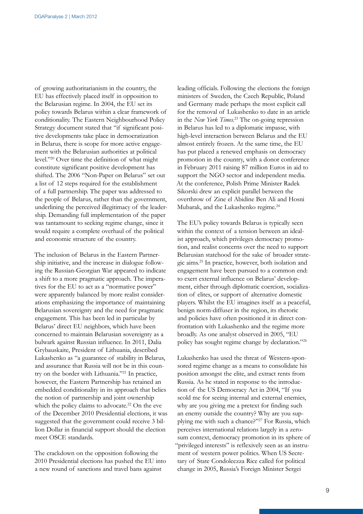of growing authoritarianism in the country, the EU has effectively placed itself in opposition to the Belarusian regime. In 2004, the EU set its policy towards Belarus within a clear framework of conditionality. The Eastern Neighbourhood Policy Strategy document stated that "if significant positive developments take place in democratization in Belarus, there is scope for more active engagement with the Belarusian authorities at political level."20 Over time the definition of what might constitute significant positive development has shifted. The 2006 "Non-Paper on Belarus" set out a list of 12 steps required for the establishment of a full partnership. The paper was addressed to the people of Belarus, rather than the government, underlining the perceived illegitimacy of the leadership. Demanding full implementation of the paper was tantamount to seeking regime change, since it would require a complete overhaul of the political and economic structure of the country.

The inclusion of Belarus in the Eastern Partnership initiative, and the increase in dialogue following the Russian-Georgian War appeared to indicate a shift to a more pragmatic approach. The imperatives for the EU to act as a "normative power" were apparently balanced by more realist considerations emphasizing the importance of maintaining Belarusian sovereignty and the need for pragmatic engagement. This has been led in particular by Belarus' direct EU neighbors, which have been concerned to maintain Belarusian sovereignty as a bulwark against Russian influence. In 2011, Dalia Grybauskaite, President of Lithuania, described Lukashenko as "a guarantee of stability in Belarus, and assurance that Russia will not be in this country on the border with Lithuania."21 In practice, however, the Eastern Partnership has retained an embedded conditionality in its approach that belies the notion of partnership and joint ownership which the policy claims to advocate.<sup>22</sup> On the eve of the December 2010 Presidential elections, it was suggested that the government could receive 3 billion Dollar in financial support should the election meet OSCE standards.

The crackdown on the opposition following the 2010 Presidential elections has pushed the EU into a new round of sanctions and travel bans against

leading officials. Following the elections the foreign ministers of Sweden, the Czech Republic, Poland and Germany made perhaps the most explicit call for the removal of Lukashenko to date in an article in the *New York Times.*23 The on-going repression in Belarus has led to a diplomatic impasse, with high-level interaction between Belarus and the EU almost entirely frozen. At the same time, the EU has put placed a renewed emphasis on democracy promotion in the country, with a donor conference in February 2011 raising 87 million Euros in aid to support the NGO sector and independent media. At the conference, Polish Prime Minister Radek Sikorski drew an explicit parallel between the overthrow of Zine el Abidine Ben Ali and Hosni Mubarak, and the Lukashenko regime.<sup>24</sup>

The EU's policy towards Belarus is typically seen within the context of a tension between an idealist approach, which privileges democracy promotion, and realist concerns over the need to support Belarusian statehood for the sake of broader strategic aims.25 In practice, however, both isolation and engagement have been pursued to a common end: to exert external influence on Belarus' development, either through diplomatic coercion, socialization of elites, or support of alternative domestic players. Whilst the EU imagines itself as a peaceful, benign norm-diffuser in the region, its rhetoric and policies have often positioned it in direct confrontation with Lukashenko and the regime more broadly. As one analyst observed in 2005, "EU policy has sought regime change by declaration."26

Lukashenko has used the threat of Western-sponsored regime change as a means to consolidate his position amongst the elite, and extract rents from Russia. As he stated in response to the introduction of the US Democracy Act in 2004, "If you scold me for seeing internal and external enemies, why are you giving me a pretext for finding such an enemy outside the country? Why are you supplying me with such a chance?"27 For Russia, which perceives international relations largely in a zerosum context, democracy promotion in its sphere of "privileged interests" is reflexively seen as an instrument of western power politics. When US Secretary of State Condoleezza Rice called for political change in 2005, Russia's Foreign Minister Sergei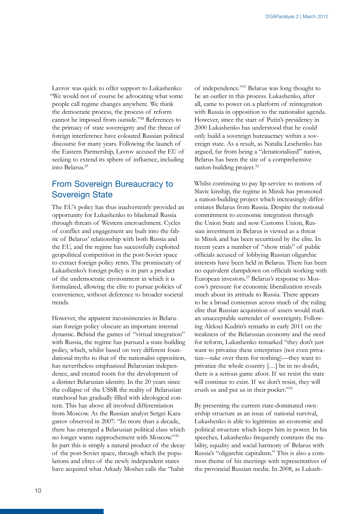<span id="page-11-0"></span>Lavrov was quick to offer support to Lukashenko: "We would not of course be advocating what some people call regime changes anywhere. We think the democratic process, the process of reform cannot be imposed from outside."28 References to the primacy of state sovereignty and the threat of foreign interference have coloured Russian political discourse for many years. Following the launch of the Eastern Partnership, Lavrov accused the EU of seeking to extend its sphere of influence, including into Belarus.29

#### From Sovereign Bureaucracy to Sovereign State

The EU's policy has thus inadvertently provided an opportunity for Lukashenko to blackmail Russia through threats of Western encroachment. Cycles of conflict and engagement are built into the fabric of Belarus' relationship with both Russia and the EU, and the regime has successfully exploited geopolitical competition in the post-Soviet space to extract foreign policy rents. The promiscuity of Lukashenko's foreign policy is in part a product of the undemocratic environment in which it is formulated, allowing the elite to pursue policies of convenience, without deference to broader societal trends.

However, the apparent inconsistencies in Belarusian foreign policy obscure an important internal dynamic. Behind the games of "virtual integration" with Russia, the regime has pursued a state-building policy, which, whilst based on very different foundational myths to that of the nationalist opposition, has nevertheless emphasized Belarusian independence, and created room for the development of a distinct Belarusian identity. In the 20 years since the collapse of the USSR the reality of Belarusian statehood has gradually filled with ideological content. This has above all involved differentiation from Moscow. As the Russian analyst Sergei Karaganov observed in 2007: "In more than a decade, there has emerged a Belarusian political class which no longer wants rapprochement with Moscow."30 In part this is simply a natural product of the decay of the post-Soviet space, through which the populations and elites of the newly independent states have acquired what Arkady Moshes calls the "habit

of independence."31 Belarus was long thought to be an outlier in this process. Lukashenko, after all, came to power on a platform of reintegration with Russia in opposition to the nationalist agenda. However, since the start of Putin's presidency in 2000 Lukashenko has understood that he could only build a sovereign bureaucracy within a sovereign state. As a result, as Natalia Leschenko has argued, far from being a "denationalized" nation, Belarus has been the site of a comprehensive nation-building project.32

Whilst continuing to pay lip-service to notions of Slavic kinship, the regime in Minsk has promoted a nation-building project which increasingly differentiates Belarus from Russia. Despite the notional commitment to economic integration through the Union State and now Customs Union, Russian investment in Belarus is viewed as a threat in Minsk and has been securitized by the elite. In recent years a number of "show trials" of public officials accused of lobbying Russian oligarchic interests have been held in Belarus. There has been no equivalent clampdown on officials working with European investors.33 Belarus's response to Moscow's pressure for economic liberalization reveals much about its attitude to Russia. There appears to be a broad consensus across much of the ruling elite that Russian acquisition of assets would mark an unacceptable surrender of sovereignty. Following Aleksei Kudrin's remarks in early 2011 on the weakness of the Belarusian economy and the need for reform, Lukashenko remarked "they don't just want to privatize these enterprises (not even privatize—take over them for nothing)—they want to privatize the whole country […] be in no doubt, there is a serious game afoot. If we resist the state will continue to exist. If we don't resist, they will crush us and put us in their pocket."34

By presenting the current state-dominated ownership structure as an issue of national survival, Lukashenko is able to legitimize an economic and political structure which keeps him in power. In his speeches, Lukashenko frequently contrasts the stability, equality and social harmony of Belarus with Russia's "oligarchic capitalism." This is also a common theme of his meetings with representatives of the provincial Russian media. In 2008, as Lukash-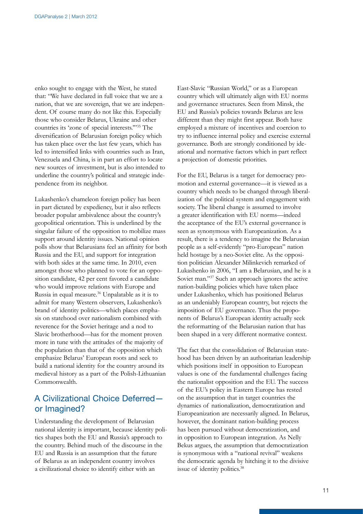<span id="page-12-0"></span>enko sought to engage with the West, he stated that: "We have declared in full voice that we are a nation, that we are sovereign, that we are independent. Of course many do not like this. Especially those who consider Belarus, Ukraine and other countries its 'zone of special interests.'"35 The diversification of Belarusian foreign policy which has taken place over the last few years, which has led to intensified links with countries such as Iran, Venezuela and China, is in part an effort to locate new sources of investment, but is also intended to underline the country's political and strategic independence from its neighbor.

Lukashenko's chameleon foreign policy has been in part dictated by expediency, but it also reflects broader popular ambivalence about the country's geopolitical orientation. This is underlined by the singular failure of the opposition to mobilize mass support around identity issues. National opinion polls show that Belarusians feel an affinity for both Russia and the EU, and support for integration with both sides at the same time. In 2010, even amongst those who planned to vote for an opposition candidate, 42 per cent favored a candidate who would improve relations with Europe and Russia in equal measure.36 Unpalatable as it is to admit for many Western observers, Lukashenko's brand of identity politics—which places emphasis on statehood over nationalism combined with reverence for the Soviet heritage and a nod to Slavic brotherhood—has for the moment proven more in tune with the attitudes of the majority of the population than that of the opposition which emphasize Belarus' European roots and seek to build a national identity for the country around its medieval history as a part of the Polish-Lithuanian Commonwealth.

#### A Civilizational Choice Deferred or Imagined?

Understanding the development of Belarusian national identity is important, because identity politics shapes both the EU and Russia's approach to the country. Behind much of the discourse in the EU and Russia is an assumption that the future of Belarus as an independent country involves a civilizational choice to identify either with an

East-Slavic "Russian World," or as a European country which will ultimately align with EU norms and governance structures. Seen from Minsk, the EU and Russia's policies towards Belarus are less different than they might first appear. Both have employed a mixture of incentives and coercion to try to influence internal policy and exercise external governance. Both are strongly conditioned by ideational and normative factors which in part reflect a projection of domestic priorities.

For the EU, Belarus is a target for democracy promotion and external governance—it is viewed as a country which needs to be changed through liberalization of the political system and engagement with society. The liberal change is assumed to involve a greater identification with EU norms—indeed the acceptance of the EU's external governance is seen as synonymous with Europeanization. As a result, there is a tendency to imagine the Belarusian people as a self-evidently "pro-European" nation held hostage by a neo-Soviet elite. As the opposition politician Alexander Milinkevich remarked of Lukashenko in 2006, "I am a Belarusian, and he is a Soviet man."37 Such an approach ignores the active nation-building policies which have taken place under Lukashenko, which has positioned Belarus as an undeniably European country, but rejects the imposition of EU governance. Thus the proponents of Belarus's European identity actually seek the reformatting of the Belarusian nation that has been shaped in a very different normative context.

The fact that the consolidation of Belarusian statehood has been driven by an authoritarian leadership which positions itself in opposition to European values is one of the fundamental challenges facing the nationalist opposition and the EU. The success of the EU's policy in Eastern Europe has rested on the assumption that in target countries the dynamics of nationalization, democratization and Europeanization are necessarily aligned. In Belarus, however, the dominant nation-building process has been pursued without democratization, and in opposition to European integration. As Nelly Bekus argues, the assumption that democratization is synonymous with a "national revival" weakens the democratic agenda by hitching it to the divisive issue of identity politics.38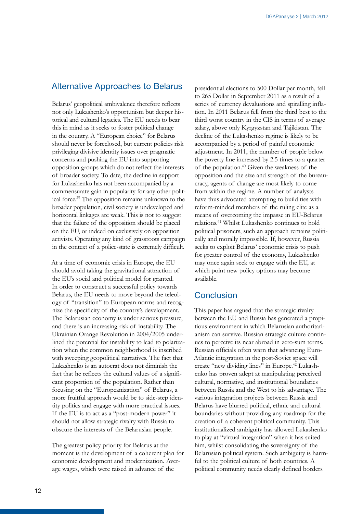#### <span id="page-13-0"></span>Alternative Approaches to Belarus

Belarus' geopolitical ambivalence therefore reflects not only Lukashenko's opportunism but deeper historical and cultural legacies. The EU needs to bear this in mind as it seeks to foster political change in the country. A "European choice" for Belarus should never be foreclosed, but current policies risk privileging divisive identity issues over pragmatic concerns and pushing the EU into supporting opposition groups which do not reflect the interests of broader society. To date, the decline in support for Lukashenko has not been accompanied by a commensurate gain in popularity for any other political force.39 The opposition remains unknown to the broader population, civil society is undeveloped and horizontal linkages are weak. This is not to suggest that the failure of the opposition should be placed on the EU, or indeed on exclusively on opposition activists. Operating any kind of grassroots campaign in the context of a police-state is extremely difficult.

At a time of economic crisis in Europe, the EU should avoid taking the gravitational attraction of the EU's social and political model for granted. In order to construct a successful policy towards Belarus, the EU needs to move beyond the teleology of "transition" to European norms and recognize the specificity of the country's development. The Belarusian economy is under serious pressure, and there is an increasing risk of instability. The Ukrainian Orange Revolution in 2004/2005 underlined the potential for instability to lead to polarization when the common neighborhood is inscribed with sweeping geopolitical narratives. The fact that Lukashenko is an autocrat does not diminish the fact that he reflects the cultural values of a significant proportion of the population. Rather than focusing on the "Europeanization" of Belarus, a more fruitful approach would be to side-step identity politics and engage with more practical issues. If the EU is to act as a "post-modern power" it should not allow strategic rivalry with Russia to obscure the interests of the Belarusian people.

The greatest policy priority for Belarus at the moment is the development of a coherent plan for economic development and modernization. Average wages, which were raised in advance of the

presidential elections to 500 Dollar per month, fell to 265 Dollar in September 2011 as a result of a series of currency devaluations and spiralling inflation. In 2011 Belarus fell from the third best to the third worst country in the CIS in terms of average salary, above only Kyrgyzstan and Tajikistan. The decline of the Lukashenko regime is likely to be accompanied by a period of painful economic adjustment. In 2011, the number of people below the poverty line increased by 2.5 times to a quarter of the population.40 Given the weakness of the opposition and the size and strength of the bureaucracy, agents of change are most likely to come from within the regime. A number of analysts have thus advocated attempting to build ties with reform-minded members of the ruling elite as a means of overcoming the impasse in EU-Belarus relations.41 Whilst Lukashenko continues to hold political prisoners, such an approach remains politically and morally impossible. If, however, Russia seeks to exploit Belarus' economic crisis to push for greater control of the economy, Lukashenko may once again seek to engage with the EU, at which point new policy options may become available.

#### **Conclusion**

This paper has argued that the strategic rivalry between the EU and Russia has generated a propitious environment in which Belarusian authoritarianism can survive. Russian strategic culture continues to perceive its near abroad in zero-sum terms. Russian officials often warn that advancing Euro-Atlantic integration in the post-Soviet space will create "new dividing lines" in Europe.42 Lukashenko has proven adept at manipulating perceived cultural, normative, and institutional boundaries between Russia and the West to his advantage. The various integration projects between Russia and Belarus have blurred political, ethnic and cultural boundaries without providing any roadmap for the creation of a coherent political community. This institutionalized ambiguity has allowed Lukashenko to play at "virtual integration" when it has suited him, whilst consolidating the sovereignty of the Belarusian political system. Such ambiguity is harmful to the political culture of both countries. A political community needs clearly defined borders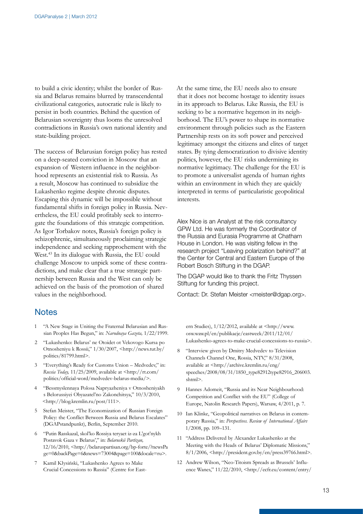<span id="page-14-0"></span>to build a civic identity; whilst the border of Russia and Belarus remains blurred by transcendental civilizational categories, autocratic rule is likely to persist in both countries. Behind the question of Belarusian sovereignty thus looms the unresolved contradictions in Russia's own national identity and state-building project.

The success of Belarusian foreign policy has rested on a deep-seated conviction in Moscow that an expansion of Western influence in the neighborhood represents an existential risk to Russia. As a result, Moscow has continued to subsidize the Lukashenko regime despite chronic disputes. Escaping this dynamic will be impossible without fundamental shifts in foreign policy in Russia. Nevertheless, the EU could profitably seek to interrogate the foundations of this strategic competition. As Igor Torbakov notes, Russia's foreign policy is schizophrenic, simultaneously proclaiming strategic independence and seeking rapprochement with the West.43 In its dialogue with Russia, the EU could challenge Moscow to unpick some of these contradictions, and make clear that a true strategic partnership between Russia and the West can only be achieved on the basis of the promotion of shared values in the neighborhood.

#### **Notes**

- 1 "A New Stage in Uniting the Fraternal Belarusian and Russian Peoples Has Begun," in: *Narodnaya Gazeta,* 1/22/1999.
- 2 "Lukashenko: Belarus' ne Otoidet ot Vekovogo Kursa po Otnosheniyu k Rossii," 1/30/2007, <http://news.tut.by/ politics/81799.html>.
- 3 "Everything's Ready for Customs Union Medvedev," in: *Russia Today,* 11/25/2009, available at <http://rt.com/ politics/official-word/medvedev-belarus-media/>.
- 4 "Bessmyslennaya Polosa Napryazheniya v Otnosheniyakh s Belorussiyei Obyazatel'no Zakonchitsya," 10/3/2010, <http://blog.kremlin.ru/post/111>.
- 5 Stefan Meister, "The Economization of Russian Foreign Policy: the Conflict Between Russia and Belarus Escalates" (DGAPstandpunkt), Berlin, September 2010.
- 6 "Putin Rasskazal, skol'ko Rossiya teryaet iz-za L'got'nykh Postavok Gaza v Belarus'," in: *Belaruskii Partizan,*  12/16/2010, <http://belaruspartisan.org/bp-forte/?newsPa ge=0&backPage=6&news=73004&page=100&locale=ru>.
- 7 Kamil Kłysiński, "Lukashenko Agrees to Make Crucial Concessions to Russia" (Centre for East-

At the same time, the EU needs also to ensure that it does not become hostage to identity issues in its approach to Belarus. Like Russia, the EU is seeking to be a normative hegemon in its neighborhood. The EU's power to shape its normative environment through policies such as the Eastern Partnership rests on its soft power and perceived legitimacy amongst the citizens and elites of target states. By tying democratization to divisive identity politics, however, the EU risks undermining its normative legitimacy. The challenge for the EU is to promote a universalist agenda of human rights within an environment in which they are quickly interpreted in terms of particularistic geopolitical interests.

Alex Nice is an Analyst at the risk consultancy GPW Ltd. He was formerly the Coordinator of the Russia and Eurasia Programme at Chatham House in London. He was visiting fellow in the research project "Leaving polarization behind?" at the Center for Central and Eastern Europe of the Robert Bosch Stiftung in the DGAP.

The DGAP would like to thank the Fritz Thyssen Stiftung for funding this project.

Contact: Dr. Stefan Meister <meister@dgap.org>.

- ern Studies), 1/12/2012, available at <http://www. osw.waw.pl/en/publikacje/eastweek/2011/12/01/ Lukashenko-agrees-to-make-crucial-concessions-to-russia>.
- 8 "Interview given by Dmitry Medvedev to Television Channels Channel One, Rossia, NTV," 8/31/2008, available at <http://archive.kremlin.ru/eng/ speeches/2008/08/31/1850\_type82912type82916\_206003. shtml>.
- 9 Hannes Adomeit, "Russia and its Near Neighbourhood: Competition and Conflict with the EU" (College of Europe, Natolin Research Papers), Warsaw, 4/2011, p. 7.
- 10 Ian Klinke, "Geopolitical narratives on Belarus in contemporary Russia," in: *Perspectives. Review of International Affairs*  1/2008, pp. 109–131.
- 11 "Address Delivered by Alexander Lukashenko at the Meeting with the Heads of Belarus' Diplomatic Missions," 8/1/2006, <http://president.gov.by/en/press39766.html>.
- 12 Andrew Wilson, "Neo-Titoism Spreads as Brussels' Influence Wanes," 11/22/2010, <http://ecfr.eu/content/entry/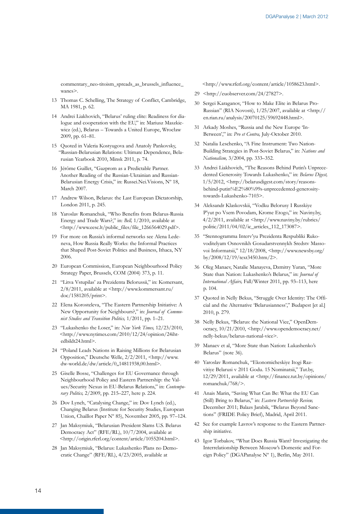commentary\_neo-titoism\_spreads\_as\_brussels\_influence wanes>.

- 13 Thomas C. Schelling, The Strategy of Conflict, Cambridge, MA 1981, p. 62.
- 14 Andrei Liakhovich, "Belarus' ruling elite: Readiness for dialogue and cooperation with the EU," in: Mariusz Maszkiewicz (ed.), Belarus – Towards a United Europe, Wrocław 2009, pp. 61–81.
- 15 Quoted in Valeria Kostyugova and Anatoly Pankovsky, "Russian-Belarusian Relations: Ultimate Dependence, Belarusian Yearbook 2010, Minsk 2011, p. 74.
- 16 Jérôme Guillet, "Gazprom as a Predictable Partner. Another Reading of the Russian-Ukrainian and Russian-Belarusian Energy Crisis," in: Russei.Nei.Visions, Nº 18, March 2007.
- 17 Andrew Wilson, Belarus: the Last European Dictatorship, London 2011, p. 245.
- 18 Yaroslav Romanchuk, "Who Benefits from Belarus-Russia Energy and Trade Wars?," in: *Bell,* 1/2010, available at <http://www.eesc.lt/public\_files/file\_1266564029.pdf>.
- 19 For more on Russia's informal networks see Alena Ledeneva, How Russia Really Works: the Informal Practices that Shaped Post-Soviet Politics and Business, Ithaca, NY 2006.
- 20 European Commission, European Neighbourhood Policy Strategy Paper, Brussels, COM (2004) 373, p. 11.
- 21 "Litva Vstupilas' za Prezidenta Belorussii," in: Komersant, 2/8/2011, available at <http://www.kommersant.ru/ doc/1581205/print>.
- 22 Elena Korosteleva, "The Eastern Partnership Initiative: A New Opportunity for Neighbours?," in: *Journal of Communist Studies and Transition Politics,* 1/2011, pp. 1–21.
- 23 "Lukashenko the Loser," in: *New York Times,* 12/23/2010,  $\langle$ http://www.nytimes.com/2010/12/24/opinion/24ihtedbildt24.html>.
- 24 "Poland Leads Nations in Raising Millions for Belarusian Opposition," Deutsche Welle, 2/2/2011, <http://www. dw-world.de/dw/article/0,,14811938,00.html>.
- 25 Giselle Bosse, "Challenges for EU Governance through Neighbourhood Policy and Eastern Partnership: the Values/Security Nexus in EU-Belarus Relations," in: *Contemporary Politics,* 2/2009, pp. 215–227, here p. 224.
- 26 Dov Lynch, "Catalysing Change," in: Dov Lynch (ed.), Changing Belarus (Institute for Security Studies, European Union, Chaillot Paper Nº 85), November 2005, pp. 97–124.
- 27 Jan Maksymiuk, "Belarusian President Slams U.S. Belarus Democracy Act" (RFE/RL), 10/7/2004, available at <http://origin.rferl.org/content/article/1055204.html>.
- 28 Jan Maksymiuk, "Belarus: Lukashenko Plans no Democratic Change" (RFE/RL), 4/23/2005, available at

<http://www.rferl.org/content/article/1058623.html>.

- 29 <http://euobserver.com/24/27827>.
- 30 Sergei Karaganov, "How to Make Elite in Belarus Pro-Russian" (RIA Novosti), 1/25/2007, available at <http:// en.rian.ru/analysis/20070125/59692448.html>.
- 31 Arkady Moshes, "Russia and the New Europe 'In-Between'," in: *Pro et Contra,* July-October 2010.
- 32 Natalia Leschenko, "A Fine Instrument: Two Nation-Building Strategies in Post-Soviet Belarus," in: *Nations and Nationalism,* 3/2004, pp. 333–352.
- 33 Andrei Liakhovich, "The Reasons Behind Putin's Unprecedented Generosity Towards Lukashenko," in: *Belarus Digest,*  1/5/2012, <http://belarusdigest.com/story/reasonsbehind-putin%E2%80%99s-unprecedented-generositytowards-Lukashenko-7103>.
- 34 Aleksandr Klaskovskii, "Vodku Belorusy I Russkiye P'yut po Vsem Povodam, Krome Etogo," in: Naviny.by, 4/2/2011, available at <http://www.naviny.by/rubrics/ politic/2011/04/02/ic\_articles\_112\_173087>.
- 35 "Stennogramma Interv'yu Prezidenta Respubliki Rukovoditelyam Osnovnikh Gosudarstvennykh Sredstv Massovoi Informatsii," 12/18/2008, <http://www.newsby.org/ by/2008/12/19/text3450.htm/2>.
- 36 Oleg Manaev, Natalie Manayeva, Dzmitry Yuran, "More State than Nation: Lukashenko's Belarus," in: *Journal of International Affairs,* Fall/Winter 2011, pp. 93–113, here p. 104.
- 37 Quoted in Nelly Bekus, "Struggle Over Identity: The Official and the Alternative 'Belarusianness'," Budapest [et al.] 2010, p. 279.
- 38 Nelly Bekus, "Belarus: the National Vice," OpenDemocracy, 10/21/2010, <http://www.opendemocracy.net/ nelly-bekus/belarus-national-vice>.
- 39 Manaev et al, "More State than Nation: Lukashenko's Belarus" (note 36).
- 40 Yaroslav Romanchuk, "Ekonomicheskiye Itogi Razvitiye Belarusi v 2011 Godu. 15 Nominatsii," Tut.by, 12/29/2011, available at <http://finance.tut.by/opinions/ romanchuk/768/>.
- 41 Anais Marin, "Saving What Can Be: What the EU Can (Still) Bring to Belarus," in: *Eastern Partnership Review,*  December 2011; Balazs Jarabik, "Belarus Beyond Sanctions" (FRIDE Policy Brief), Madrid, April 2011.
- 42 See for example Lavrov's response to the Eastern Partnership initiative.
- 43 Igor Torbakov, "What Does Russia Want? Investigating the Interrelationship Between Moscow's Domestic and Foreign Policy" (DGAPanalyse Nº 1), Berlin, May 2011.